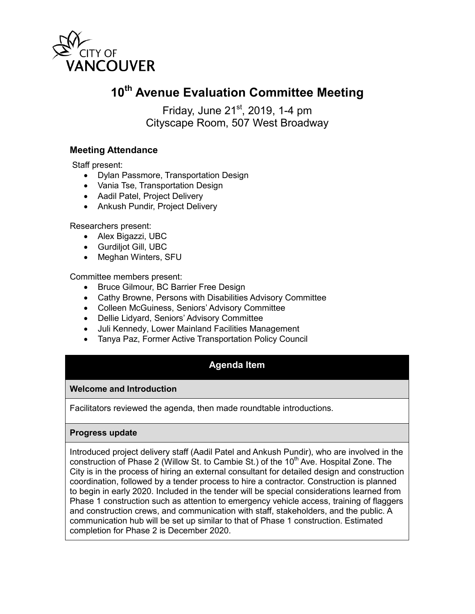

# **10th Avenue Evaluation Committee Meeting**

Friday, June  $21<sup>st</sup>$ , 2019, 1-4 pm Cityscape Room, 507 West Broadway

## **Meeting Attendance**

Staff present:

- Dylan Passmore, Transportation Design
- Vania Tse, Transportation Design
- Aadil Patel, Project Delivery
- Ankush Pundir, Project Delivery

Researchers present:

- Alex Bigazzi, UBC
- Gurdiljot Gill, UBC
- Meghan Winters, SFU

Committee members present:

- Bruce Gilmour, BC Barrier Free Design
- Cathy Browne, Persons with Disabilities Advisory Committee
- Colleen McGuiness, Seniors' Advisory Committee
- Dellie Lidyard, Seniors' Advisory Committee
- Juli Kennedy, Lower Mainland Facilities Management
- Tanya Paz, Former Active Transportation Policy Council

# **Agenda Item**

#### **Welcome and Introduction**

Facilitators reviewed the agenda, then made roundtable introductions.

#### **Progress update**

Introduced project delivery staff (Aadil Patel and Ankush Pundir), who are involved in the construction of Phase 2 (Willow St. to Cambie St.) of the  $10<sup>th</sup>$  Ave. Hospital Zone. The City is in the process of hiring an external consultant for detailed design and construction coordination, followed by a tender process to hire a contractor. Construction is planned to begin in early 2020. Included in the tender will be special considerations learned from Phase 1 construction such as attention to emergency vehicle access, training of flaggers and construction crews, and communication with staff, stakeholders, and the public. A communication hub will be set up similar to that of Phase 1 construction. Estimated completion for Phase 2 is December 2020.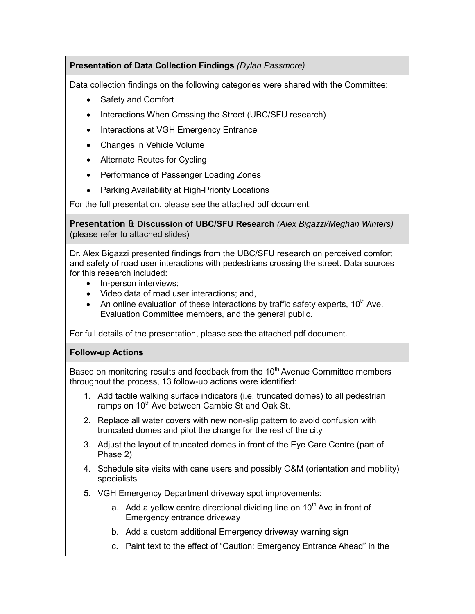## **Presentation of Data Collection Findings** *(Dylan Passmore)*

Data collection findings on the following categories were shared with the Committee:

- Safety and Comfort
- Interactions When Crossing the Street (UBC/SFU research)
- Interactions at VGH Emergency Entrance
- Changes in Vehicle Volume
- Alternate Routes for Cycling
- Performance of Passenger Loading Zones
- Parking Availability at High-Priority Locations

For the full presentation, please see the attached pdf document.

**Presentation & Discussion of UBC/SFU Research** *(Alex Bigazzi/Meghan Winters)* (please refer to attached slides)

Dr. Alex Bigazzi presented findings from the UBC/SFU research on perceived comfort and safety of road user interactions with pedestrians crossing the street. Data sources for this research included:

- In-person interviews:
- Video data of road user interactions; and,
- An online evaluation of these interactions by traffic safety experts,  $10^{th}$  Ave. Evaluation Committee members, and the general public.

For full details of the presentation, please see the attached pdf document.

### **Follow-up Actions**

Based on monitoring results and feedback from the 10<sup>th</sup> Avenue Committee members throughout the process, 13 follow-up actions were identified:

- 1. Add tactile walking surface indicators (i.e. truncated domes) to all pedestrian ramps on 10<sup>th</sup> Ave between Cambie St and Oak St.
- 2. Replace all water covers with new non-slip pattern to avoid confusion with truncated domes and pilot the change for the rest of the city
- 3. Adjust the layout of truncated domes in front of the Eye Care Centre (part of Phase 2)
- 4. Schedule site visits with cane users and possibly O&M (orientation and mobility) specialists
- 5. VGH Emergency Department driveway spot improvements:
	- a. Add a yellow centre directional dividing line on  $10<sup>th</sup>$  Ave in front of Emergency entrance driveway
	- b. Add a custom additional Emergency driveway warning sign
	- c. Paint text to the effect of "Caution: Emergency Entrance Ahead" in the